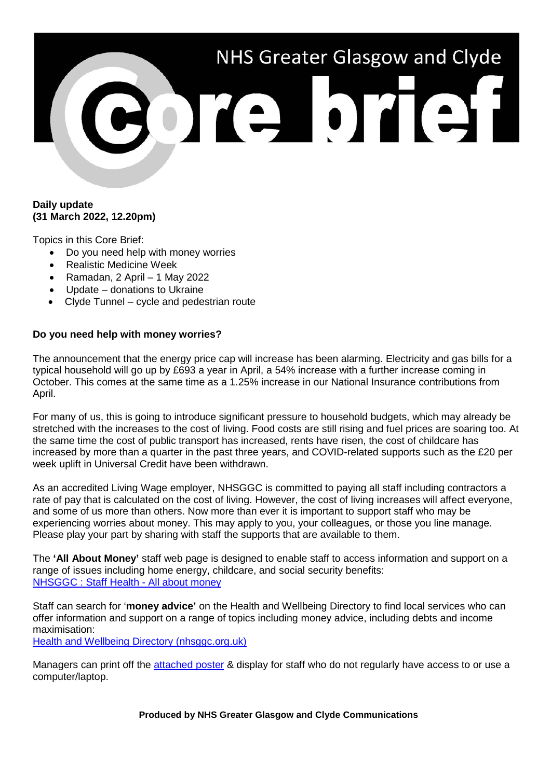# NHS Greater Glasgow and Clyde 301310131

# **Daily update (31 March 2022, 12.20pm)**

Topics in this Core Brief:

- Do you need help with money worries
- Realistic Medicine Week
- Ramadan, 2 April  $-1$  May 2022
- Update donations to Ukraine
- Clyde Tunnel cycle and pedestrian route

# **Do you need help with money worries?**

The announcement that the energy price cap will increase has been alarming. Electricity and gas bills for a typical household will go up by £693 a year in April, a 54% increase with a further increase coming in October. This comes at the same time as a 1.25% increase in our National Insurance contributions from April.

For many of us, this is going to introduce significant pressure to household budgets, which may already be stretched with the increases to the cost of living. Food costs are still rising and fuel prices are soaring too. At the same time the cost of public transport has increased, rents have risen, the cost of childcare has increased by more than a quarter in the past three years, and COVID-related supports such as the £20 per week uplift in Universal Credit have been withdrawn.

As an accredited Living Wage employer, NHSGGC is committed to paying all staff including contractors a rate of pay that is calculated on the cost of living. However, the cost of living increases will affect everyone, and some of us more than others. Now more than ever it is important to support staff who may be experiencing worries about money. This may apply to you, your colleagues, or those you line manage. Please play your part by sharing with staff the supports that are available to them.

The **'All About Money'** staff web page is designed to enable staff to access information and support on a range of issues including home energy, childcare, and social security benefits: [NHSGGC : Staff Health -](https://www.nhsggc.org.uk/working-with-us/staff-health/all-about-money/) All about money

Staff can search for '**money advice'** on the Health and Wellbeing Directory to find local services who can offer information and support on a range of topics including money advice, including debts and income maximisation:

[Health and Wellbeing Directory \(nhsggc.org.uk\)](http://infodir.nhsggc.org.uk/Home/Directory)

Managers can print off the [attached poster](https://www.nhsggc.org.uk/media/271682/cb-money-worries-poster.pdf) & display for staff who do not regularly have access to or use a computer/laptop.

**Produced by NHS Greater Glasgow and Clyde Communications**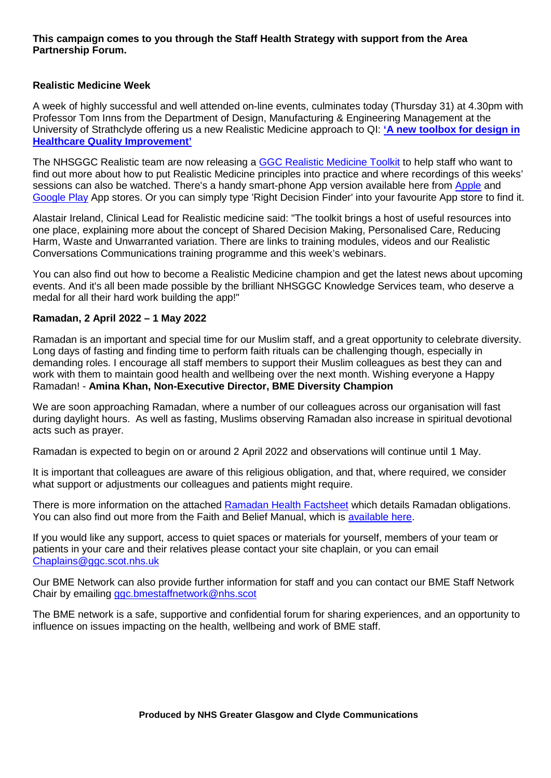## **This campaign comes to you through the Staff Health Strategy with support from the Area Partnership Forum.**

## **Realistic Medicine Week**

A week of highly successful and well attended on-line events, culminates today (Thursday 31) at 4.30pm with Professor Tom Inns from the Department of Design, Manufacturing & Engineering Management at the University of Strathclyde offering us a new Realistic Medicine approach to QI: **['A new toolbox for design in](https://www.nhsggc.org.uk/patients-and-visitors/realistic-medicine/nhsggc-realistic-medicine-week-2022/)  [Healthcare Quality Improvement'](https://www.nhsggc.org.uk/patients-and-visitors/realistic-medicine/nhsggc-realistic-medicine-week-2022/)**

The NHSGGC Realistic team are now releasing a [GGC Realistic Medicine Toolkit](https://finder.rightdecision.scot.nhs.uk/nhsggc-realistic-medicine/) to help staff who want to find out more about how to put Realistic Medicine principles into practice and where recordings of this weeks' sessions can also be watched. There's a handy smart-phone App version available here from [Apple](https://apps.apple.com/gb/app/right-decision-finder/id1606887247) and [Google Play](https://play.google.com/store/apps/details?id=com.tactuum.quris.rdsfinder&hl=en) App stores. Or you can simply type 'Right Decision Finder' into your favourite App store to find it.

Alastair Ireland, Clinical Lead for Realistic medicine said: "The toolkit brings a host of useful resources into one place, explaining more about the concept of Shared Decision Making, Personalised Care, Reducing Harm, Waste and Unwarranted variation. There are links to training modules, videos and our Realistic Conversations Communications training programme and this week's webinars.

You can also find out how to become a Realistic Medicine champion and get the latest news about upcoming events. And it's all been made possible by the brilliant NHSGGC Knowledge Services team, who deserve a medal for all their hard work building the app!"

### **Ramadan, 2 April 2022 – 1 May 2022**

Ramadan is an important and special time for our Muslim staff, and a great opportunity to celebrate diversity. Long days of fasting and finding time to perform faith rituals can be challenging though, especially in demanding roles. I encourage all staff members to support their Muslim colleagues as best they can and work with them to maintain good health and wellbeing over the next month. Wishing everyone a Happy Ramadan! - **Amina Khan, Non-Executive Director, BME Diversity Champion**

We are soon approaching Ramadan, where a number of our colleagues across our organisation will fast during daylight hours. As well as fasting, Muslims observing Ramadan also increase in spiritual devotional acts such as prayer.

Ramadan is expected to begin on or around 2 April 2022 and observations will continue until 1 May.

It is important that colleagues are aware of this religious obligation, and that, where required, we consider what support or adjustments our colleagues and patients might require.

There is more information on the attached [Ramadan Health Factsheet](https://www.nhsggc.org.uk/media/271673/cb-ramadan-health-factsheet-2022.pdf) which details Ramadan obligations. You can also find out more from the Faith and Belief Manual, which is [available here.](https://www.nhsggc.org.uk/media/255952/nhsggc_equalities__faith_and_belief_communities_manual.pdf)

If you would like any support, access to quiet spaces or materials for yourself, members of your team or patients in your care and their relatives please contact your site chaplain, or you can email [Chaplains@ggc.scot.nhs.uk](mailto:Chaplains@ggc.scot.nhs.uk)

Our BME Network can also provide further information for staff and you can contact our BME Staff Network Chair by emailing [ggc.bmestaffnetwork@nhs.scot](mailto:ggc.bmestaffnetwork@nhs.scot)

The BME network is a safe, supportive and confidential forum for sharing experiences, and an opportunity to influence on issues impacting on the health, wellbeing and work of BME staff.